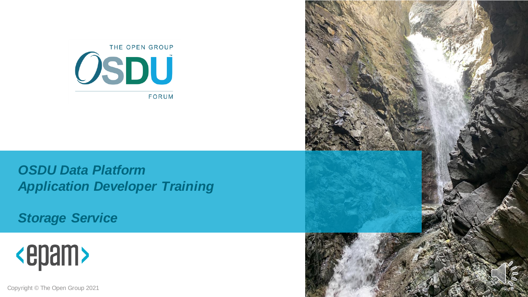

*OSDU Data Platform Application Developer Training*

*Storage Service*



Copyright © The Open Group 2021

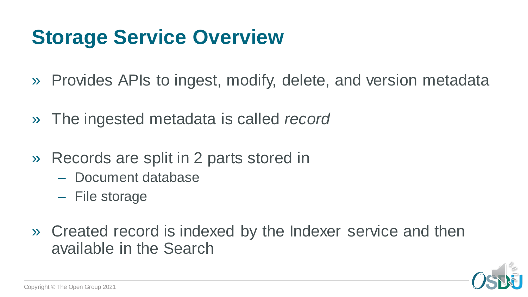# **Storage Service Overview**

- » Provides APIs to ingest, modify, delete, and version metadata
- » The ingested metadata is called *record*
- » Records are split in 2 parts stored in
	- Document database
	- File storage
- » Created record is indexed by the Indexer service and then available in the Search

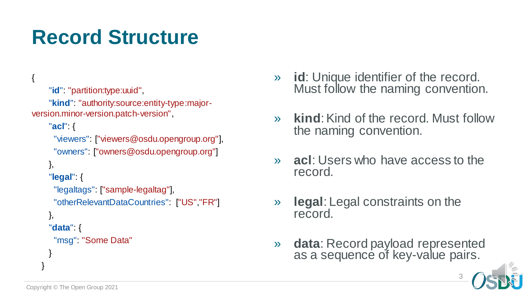# **Record Structure**

```
"id": "partition:type:uuid",
    "kind": "authority:source:entity-type:major-
version.minor-version.patch-version",
    "acl": {
     "viewers": ["viewers@osdu.opengroup.org"],
     "owners": ["owners@osdu.opengroup.org"]
    },
    "legal": {
     "legaltags": ["sample-legaltag"],
      "otherRelevantDataCountries": ["US","FR"]
    },
    "data": {
     "msg": "Some Data"
    }
  }
```
- » **id**: Unique identifier of the record. Must follow the naming convention.
- » **kind**: Kind of the record. Must follow the naming convention.
- » **acl**: Users who have access to the record.
- » **legal**: Legal constraints on the record.
- » **data**: Record payload represented as a sequence of key-value pairs.



3

{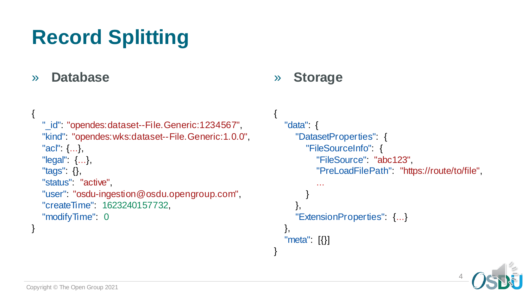# **Record Splitting**

### » **Database**

{

}

```
"_id": "opendes:dataset--File.Generic:1234567",
"kind": "opendes:wks:dataset--File.Generic:1.0.0",
"acl": {...},
"legal": {...},
"tags": {},
"status" "active"
"user": "osdu-ingestion@osdu.opengroup.com",
"createTime": 1623240157732,
"modifyTime": 0
```
### » **Storage**

{

}

```
"data": {
   "DatasetProperties": {
     "FileSourceInfo": {
        "FileSource": "abc123",
        "PreLoadFilePath": "https://route/to/file",
        ...
      }
   },
   "ExtensionProperties": {...}
},
"meta": [{}]
```
4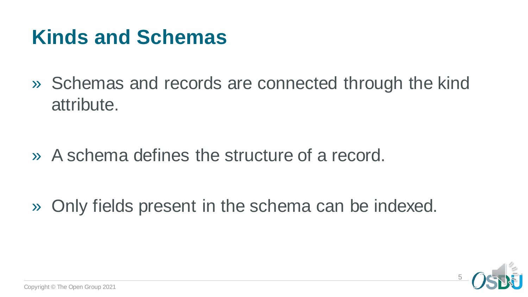### **Kinds and Schemas**

» Schemas and records are connected through the kind attribute.

» A schema defines the structure of a record.

» Only fields present in the schema can be indexed.

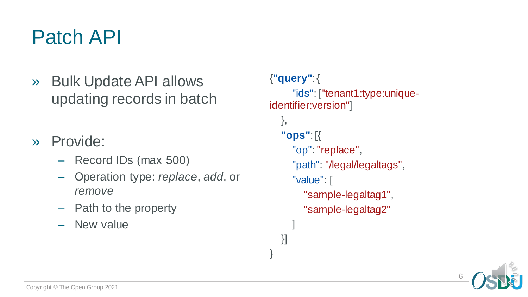### Patch API

- » Bulk Update API allows updating records in batch
- » Provide:
	- Record IDs (max 500)
	- Operation type: *replace*, *add*, or *remove*
	- Path to the property
	- New value

#### {**"query"**: {

```
"ids": ["tenant1:type:unique-
identifier:version"]
```
### },

}]

}

```
"ops": [{
  "op": "replace",
  "path": "/legal/legaltags",
  "value": [
     "sample-legaltag1",
     "sample-legaltag2"
  ]
```
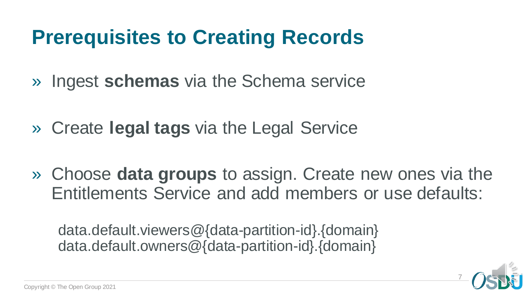# **Prerequisites to Creating Records**

- » Ingest **schemas** via the Schema service
- » Create **legal tags** via the Legal Service
- » Choose **data groups** to assign. Create new ones via the Entitlements Service and add members or use defaults:

data.default.viewers@{data-partition-id}.{domain} data.default.owners@{data-partition-id}.{domain}